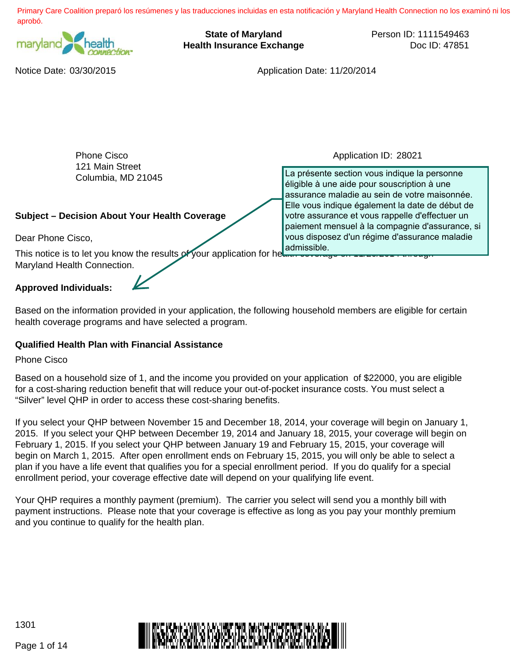Primary Care Coalition preparó los resúmenes y las traducciones incluidas en esta notificación y Maryland Health Connection no los examinó ni los aprobó.



**State of Maryland Health Insurance Exchange** Person ID: 1111549463 Doc ID: 47851

Notice Date: 03/30/2015 Application Date: 11/20/2014

| <b>Phone Cisco</b>                                                                | Application ID: 28021                                                                                                                                 |  |  |  |
|-----------------------------------------------------------------------------------|-------------------------------------------------------------------------------------------------------------------------------------------------------|--|--|--|
| 121 Main Street<br>Columbia, MD 21045                                             | La présente section vous indique la personne<br>éligible à une aide pour souscription à une<br>assurance maladie au sein de votre maisonnée.          |  |  |  |
| <b>Subject - Decision About Your Health Coverage</b>                              | Elle vous indique également la date de début de<br>votre assurance et vous rappelle d'effectuer un<br>paiement mensuel à la compagnie d'assurance, si |  |  |  |
| Dear Phone Cisco,                                                                 | vous disposez d'un régime d'assurance maladie                                                                                                         |  |  |  |
| This notice is to let you know the results of your application for he admissible. |                                                                                                                                                       |  |  |  |
| Maryland Health Connection.                                                       |                                                                                                                                                       |  |  |  |
| <b>Approved Individuals:</b>                                                      |                                                                                                                                                       |  |  |  |

Based on the information provided in your application, the following household members are eligible for certain health coverage programs and have selected a program.

# **Qualified Health Plan with Financial Assistance**

Phone Cisco

Based on a household size of 1, and the income you provided on your application of \$22000, you are eligible for a cost-sharing reduction benefit that will reduce your out-of-pocket insurance costs. You must select a "Silver" level QHP in order to access these cost-sharing benefits.

If you select your QHP between November 15 and December 18, 2014, your coverage will begin on January 1, 2015. If you select your QHP between December 19, 2014 and January 18, 2015, your coverage will begin on February 1, 2015. If you select your QHP between January 19 and February 15, 2015, your coverage will begin on March 1, 2015. After open enrollment ends on February 15, 2015, you will only be able to select a plan if you have a life event that qualifies you for a special enrollment period. If you do qualify for a special enrollment period, your coverage effective date will depend on your qualifying life event.

Your QHP requires a monthly payment (premium). The carrier you select will send you a monthly bill with payment instructions. Please note that your coverage is effective as long as you pay your monthly premium and you continue to qualify for the health plan.



1301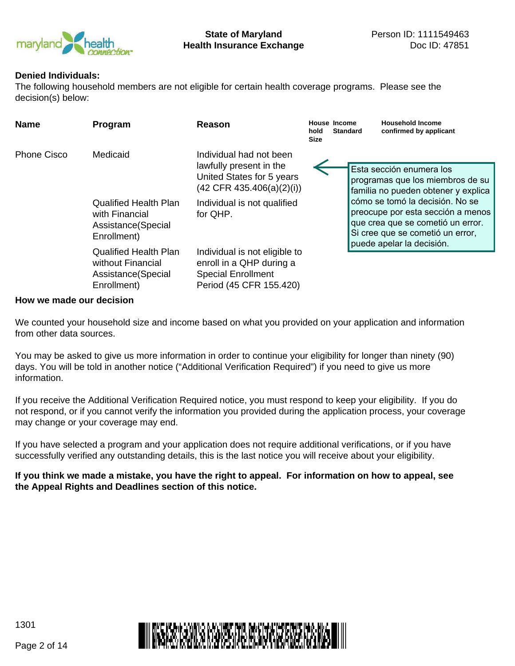

### **Denied Individuals:**

The following household members are not eligible for certain health coverage programs. Please see the decision(s) below:

| <b>Name</b> | Program                                                                                          | Reason                                                                                                                                                    | hold<br><b>Size</b> | House Income<br><b>Standard</b> | <b>Household Income</b><br>confirmed by applicant                                                                                                                                                                                                                                 |
|-------------|--------------------------------------------------------------------------------------------------|-----------------------------------------------------------------------------------------------------------------------------------------------------------|---------------------|---------------------------------|-----------------------------------------------------------------------------------------------------------------------------------------------------------------------------------------------------------------------------------------------------------------------------------|
| Phone Cisco | Medicaid<br><b>Qualified Health Plan</b><br>with Financial<br>Assistance (Special<br>Enrollment) | Individual had not been<br>lawfully present in the<br>United States for 5 years<br>$(42$ CFR 435.406(a)(2)(i))<br>Individual is not qualified<br>for OHP. |                     |                                 | Esta sección enumera los<br>programas que los miembros de su<br>familia no pueden obtener y explica<br>cómo se tomó la decisión. No se<br>preocupe por esta sección a menos<br>que crea que se cometió un error.<br>Si cree que se cometió un error,<br>puede apelar la decisión. |
|             | <b>Qualified Health Plan</b><br>without Financial<br>Assistance(Special<br>Enrollment)           | Individual is not eligible to<br>enroll in a QHP during a<br><b>Special Enrollment</b><br>Period (45 CFR 155.420)                                         |                     |                                 |                                                                                                                                                                                                                                                                                   |

#### **How we made our decision**

We counted your household size and income based on what you provided on your application and information from other data sources.

You may be asked to give us more information in order to continue your eligibility for longer than ninety (90) days. You will be told in another notice ("Additional Verification Required") if you need to give us more information.

If you receive the Additional Verification Required notice, you must respond to keep your eligibility. If you do not respond, or if you cannot verify the information you provided during the application process, your coverage may change or your coverage may end.

If you have selected a program and your application does not require additional verifications, or if you have successfully verified any outstanding details, this is the last notice you will receive about your eligibility.

**If you think we made a mistake, you have the right to appeal. For information on how to appeal, see the Appeal Rights and Deadlines section of this notice.**



Page 2 of 14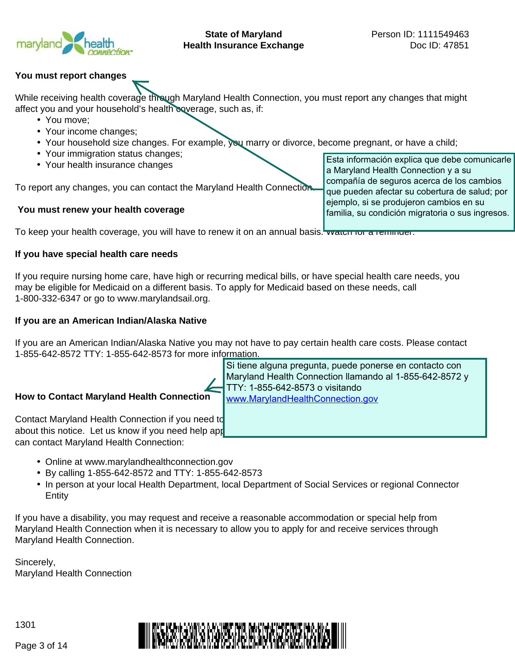

**State of Maryland Health Insurance Exchange**

Esta información explica que debe comunicarle

compañía de seguros acerca de los cambios que pueden afectar su cobertura de salud; por ejemplo, si se produjeron cambios en su familia, su condición migratoria o sus ingresos.

a Maryland Health Connection y a su

### **You must report changes**

While receiving health coverage through Maryland Health Connection, you must report any changes that might affect you and your household's health coverage, such as, if:

- You move;
- Your income changes;
- Your household size changes. For example, you marry or divorce, become pregnant, or have a child;
- Your immigration status changes;
- Your health insurance changes

To report any changes, you can contact the Maryland Health Connection.

#### **You must renew your health coverage**

To keep your health coverage, you will have to renew it on an annual basis. Watch for a reminder.

#### **If you have special health care needs**

If you require nursing home care, have high or recurring medical bills, or have special health care needs, you may be eligible for Medicaid on a different basis. To apply for Medicaid based on these needs, call 1-800-332-6347 or go to www.marylandsail.org.

#### **If you are an American Indian/Alaska Native**

If you are an American Indian/Alaska Native you may not have to pay certain health care costs. Please contact 1-855-642-8572 TTY: 1-855-642-8573 for more information.

# **How to Contact Maryland Health Connection**

Contact Maryland Health Connection if you need to about this notice. Let us know if you need help app can contact Maryland Health Connection:

Si tiene alguna pregunta, puede ponerse en contacto con Maryland Health Connection llamando al 1-855-642-8572 y TTY: 1-855-642-8573 o visitando www.MarylandHealthConnection.gov

- Online at www.marylandhealthconnection.gov
- By calling 1-855-642-8572 and TTY: 1-855-642-8573
- In person at your local Health Department, local Department of Social Services or regional Connector Entity

If you have a disability, you may request and receive a reasonable accommodation or special help from Maryland Health Connection when it is necessary to allow you to apply for and receive services through Maryland Health Connection.

Sincerely, Maryland Health Connection

1301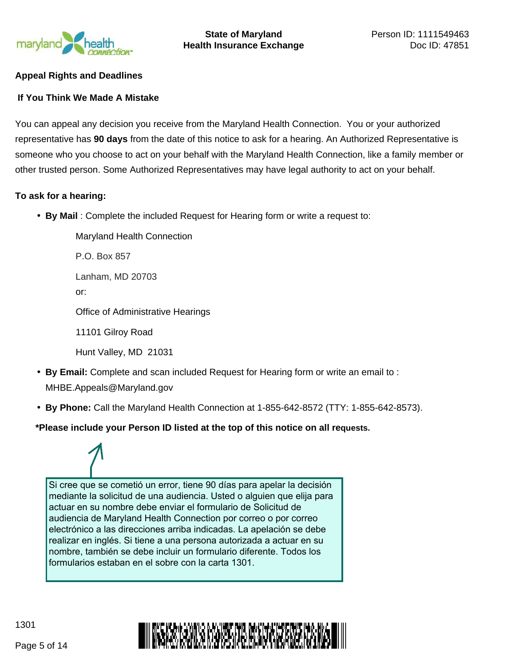

# **Appeal Rights and Deadlines**

### **If You Think We Made A Mistake**

You can appeal any decision you receive from the Maryland Health Connection. You or your authorized representative has **90 days** from the date of this notice to ask for a hearing. An Authorized Representative is someone who you choose to act on your behalf with the Maryland Health Connection, like a family member or other trusted person. Some Authorized Representatives may have legal authority to act on your behalf.

#### **To ask for a hearing:**

• **By Mail** : Complete the included Request for Hearing form or write a request to:

Maryland Health Connection P.O. Box 857 Lanham, MD 20703 or: Office of Administrative Hearings 11101 Gilroy Road Hunt Valley, MD 21031

- **By Email:** Complete and scan included Request for Hearing form or write an email to : MHBE.Appeals@Maryland.gov
- **By Phone:** Call the Maryland Health Connection at 1-855-642-8572 (TTY: 1-855-642-8573).

# **\*Please include your Person ID listed at the top of this notice on all requests.**

Si cree que se cometió un error, tiene 90 días para apelar la decisión mediante la solicitud de una audiencia. Usted o alguien que elija para actuar en su nombre debe enviar el formulario de Solicitud de audiencia de Maryland Health Connection por correo o por correo electrónico a las direcciones arriba indicadas. La apelación se debe realizar en inglés. Si tiene a una persona autorizada a actuar en su nombre, también se debe incluir un formulario diferente. Todos los formularios estaban en el sobre con la carta 1301.